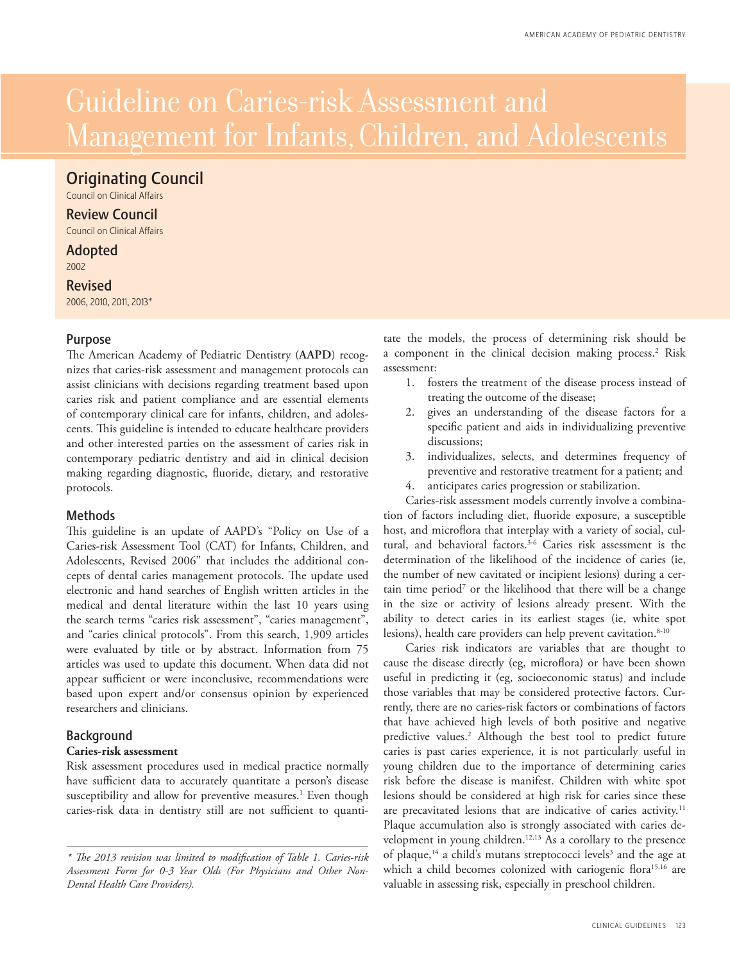# Management for Infants, Children, and Adolescents

Originating Council

Council on Clinical Affairs

Review Council Council on Clinical Affairs

Adopted

2002

# Revised

2006, 2010, 2011, 2013\*

# Purpose

The American Academy of Pediatric Dentistry (AAPD) recognizes that caries-risk assessment and management protocols can assist clinicians with decisions regarding treatment based upon caries risk and patient compliance and are essential elements of contemporary clinical care for infants, children, and adolescents. This guideline is intended to educate healthcare providers and other interested parties on the assessment of caries risk in contemporary pediatric dentistry and aid in clinical decision making regarding diagnostic, fuoride, dietary, and restorative protocols.

# Methods

This guideline is an update of AAPD's "Policy on Use of a Caries-risk Assessment Tool (CAT) for Infants, Children, and Adolescents, Revised 2006" that includes the additional concepts of dental caries management protocols. The update used electronic and hand searches of English written articles in the medical and dental literature within the last 10 years using the search terms "caries risk assessment", "caries management", and "caries clinical protocols". From this search, 1,909 articles were evaluated by title or by abstract. Information from 75 articles was used to update this document. When data did not appear sufficient or were inconclusive, recommendations were based upon expert and/or consensus opinion by experienced researchers and clinicians.

# **Background**

## **Caries-risk assessment**

Risk assessment procedures used in medical practice normally have sufficient data to accurately quantitate a person's disease susceptibility and allow for preventive measures.<sup>1</sup> Even though caries-risk data in dentistry still are not sufficient to quanti-

tate the models, the process of determining risk should be a component in the clinical decision making process.<sup>2</sup> Risk assessment:

- 1. fosters the treatment of the disease process instead of treating the outcome of the disease;
- 2. gives an understanding of the disease factors for a specifc patient and aids in individualizing preventive discussions;
- 3. individualizes, selects, and determines frequency of preventive and restorative treatment for a patient; and
- 4. anticipates caries progression or stabilization.

Caries-risk assessment models currently involve a combination of factors including diet, fuoride exposure, a susceptible host, and microflora that interplay with a variety of social, cultural, and behavioral factors.<sup>3-6</sup> Caries risk assessment is the determination of the likelihood of the incidence of caries (ie, the number of new cavitated or incipient lesions) during a certain time period $^7$  or the likelihood that there will be a change in the size or activity of lesions already present. With the ability to detect caries in its earliest stages (ie, white spot lesions), health care providers can help prevent cavitation.<sup>8-10</sup>

Caries risk indicators are variables that are thought to cause the disease directly (eg, microflora) or have been shown useful in predicting it (eg, socioeconomic status) and include those variables that may be considered protective factors. Currently, there are no caries-risk factors or combinations of factors that have achieved high levels of both positive and negative predictive values.2 Although the best tool to predict future caries is past caries experience, it is not particularly useful in young children due to the importance of determining caries risk before the disease is manifest. Children with white spot lesions should be considered at high risk for caries since these are precavitated lesions that are indicative of caries activity.<sup>11</sup> Plaque accumulation also is strongly associated with caries development in young children.<sup>12,13</sup> As a corollary to the presence of plaque,<sup>14</sup> a child's mutans streptococci levels<sup>3</sup> and the age at which a child becomes colonized with cariogenic flora<sup>15,16</sup> are valuable in assessing risk, especially in preschool children.

*<sup>\*</sup> Te 2013 revision was limited to modifcation of Table 1. Caries-risk Assessment Form for 0-3 Year Olds (For Physicians and Other Non-Dental Health Care Providers).*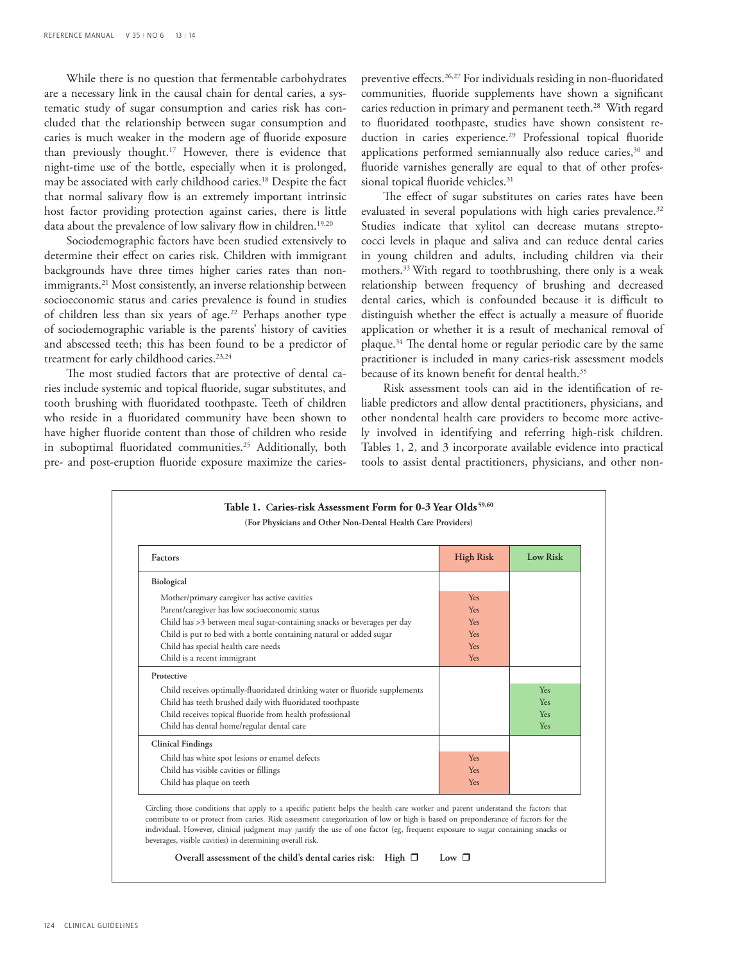While there is no question that fermentable carbohydrates are a necessary link in the causal chain for dental caries, a systematic study of sugar consumption and caries risk has concluded that the relationship between sugar consumption and caries is much weaker in the modern age of fuoride exposure than previously thought.17 However, there is evidence that night-time use of the bottle, especially when it is prolonged, may be associated with early childhood caries.18 Despite the fact that normal salivary flow is an extremely important intrinsic host factor providing protection against caries, there is little data about the prevalence of low salivary flow in children.<sup>19,20</sup>

Sociodemographic factors have been studied extensively to determine their efect on caries risk. Children with immigrant backgrounds have three times higher caries rates than nonimmigrants.<sup>21</sup> Most consistently, an inverse relationship between socioeconomic status and caries prevalence is found in studies of children less than six years of age.<sup>22</sup> Perhaps another type of sociodemographic variable is the parents' history of cavities and abscessed teeth; this has been found to be a predictor of treatment for early childhood caries.<sup>23,24</sup>

The most studied factors that are protective of dental caries include systemic and topical fuoride, sugar substitutes, and tooth brushing with fuoridated toothpaste. Teeth of children who reside in a fuoridated community have been shown to have higher fuoride content than those of children who reside in suboptimal fluoridated communities.<sup>25</sup> Additionally, both pre- and post-eruption fuoride exposure maximize the cariespreventive effects.<sup>26,27</sup> For individuals residing in non-fluoridated communities, fuoride supplements have shown a signifcant caries reduction in primary and permanent teeth.<sup>28</sup> With regard to fuoridated toothpaste, studies have shown consistent reduction in caries experience.<sup>29</sup> Professional topical fluoride applications performed semiannually also reduce caries,<sup>30</sup> and fuoride varnishes generally are equal to that of other professional topical fluoride vehicles.<sup>31</sup>

The effect of sugar substitutes on caries rates have been evaluated in several populations with high caries prevalence.<sup>32</sup> Studies indicate that xylitol can decrease mutans streptococci levels in plaque and saliva and can reduce dental caries in young children and adults, including children via their mothers.33 With regard to toothbrushing, there only is a weak relationship between frequency of brushing and decreased dental caries, which is confounded because it is difficult to distinguish whether the efect is actually a measure of fuoride application or whether it is a result of mechanical removal of plaque.<sup>34</sup> The dental home or regular periodic care by the same practitioner is included in many caries-risk assessment models because of its known benefit for dental health.<sup>35</sup>

Risk assessment tools can aid in the identifcation of reliable predictors and allow dental practitioners, physicians, and other nondental health care providers to become more actively involved in identifying and referring high-risk children. Tables 1, 2, and 3 incorporate available evidence into practical tools to assist dental practitioners, physicians, and other non-

| (For Physicians and Other Non-Dental Health Care Providers)                 |                  |            |
|-----------------------------------------------------------------------------|------------------|------------|
| Factors                                                                     | <b>High Risk</b> | Low Risk   |
| Biological                                                                  |                  |            |
| Mother/primary caregiver has active cavities                                | <b>Yes</b>       |            |
| Parent/caregiver has low socioeconomic status                               | <b>Yes</b>       |            |
| Child has >3 between meal sugar-containing snacks or beverages per day      | <b>Yes</b>       |            |
| Child is put to bed with a bottle containing natural or added sugar         | <b>Yes</b>       |            |
| Child has special health care needs                                         | <b>Yes</b>       |            |
| Child is a recent immigrant                                                 | Yes              |            |
| Protective                                                                  |                  |            |
| Child receives optimally-fluoridated drinking water or fluoride supplements |                  | <b>Yes</b> |
| Child has teeth brushed daily with fluoridated toothpaste                   |                  | <b>Yes</b> |
| Child receives topical fluoride from health professional                    |                  | Yes        |
| Child has dental home/regular dental care                                   |                  | Yes        |
| <b>Clinical Findings</b>                                                    |                  |            |
| Child has white spot lesions or enamel defects                              | <b>Yes</b>       |            |
| Child has visible cavities or fillings                                      | Yes              |            |
| Child has plaque on teeth                                                   | Yes              |            |

contribute to or protect from caries. Risk assessment categorization of low or high is based on preponderance of factors for the individual. However, clinical judgment may justify the use of one factor (eg, frequent exposure to sugar containing snacks or beverages, visible cavities) in determining overall risk.

Overall assessment of the child's dental caries risk: High  $\Box$  Low  $\Box$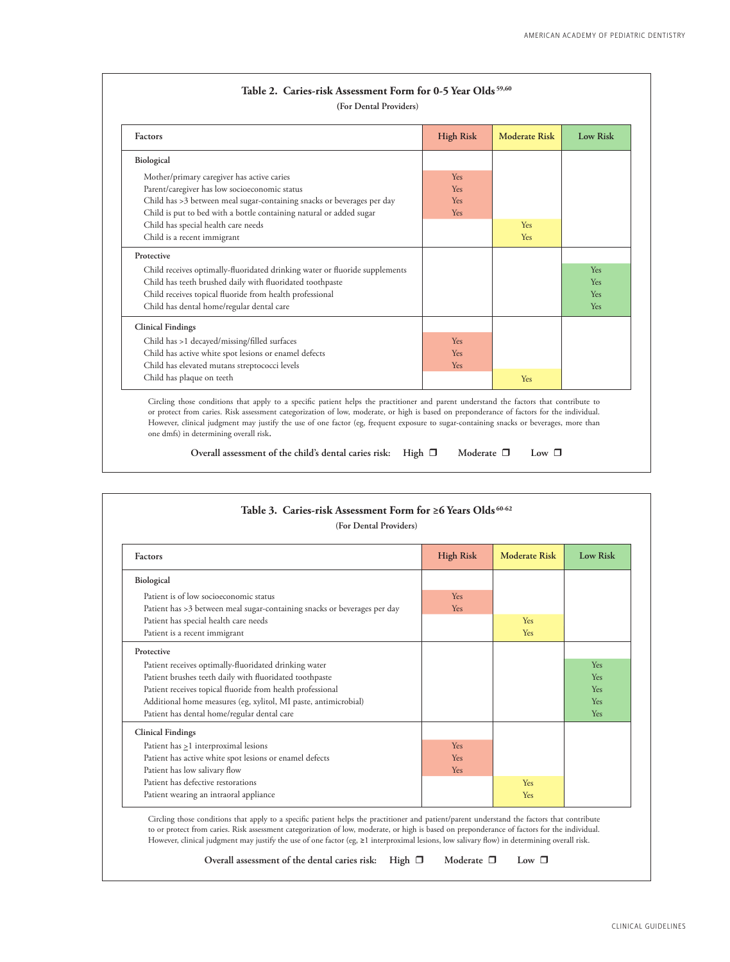# **Table 2. Caries-risk Assessment Form for 0-5 Year Olds 59,60 (For Dental Providers) Factors High Risk Moderate Risk Low Risk Biological** Mother/primary caregiver has active caries **Yes** Parent/caregiver has low socioeconomic status Ves Child has >3 between meal sugar-containing snacks or beverages per day Yes Child is put to bed with a bottle containing natural or added sugar Yes Child has special health care needs Yes **Child is a recent immigrant** Yes **Protective** Child receives optimally-fuoridated drinking water or fuoride supplements Yes Child has teeth brushed daily with fluoridated toothpaste New Yes New Yes New Yes New Yes New Yes New Yes New Yes Child receives topical fluoride from health professional Ves Child has dental home/regular dental care Yes **Clinical Findings** Child has >1 decayed/missing/filled surfaces Yes Child has active white spot lesions or enamel defects Yes Child has elevated mutans streptococci levels Yes Child has plaque on teeth Yes Circling those conditions that apply to a specifc patient helps the practitioner and parent understand the factors that contribute to

or protect from caries. Risk assessment categorization of low, moderate, or high is based on preponderance of factors for the individual. However, clinical judgment may justify the use of one factor (eg, frequent exposure to sugar-containing snacks or beverages, more than one dmfs) in determining overall risk.

Overall assessment of the child's dental caries risk: High  $\Box$  Moderate  $\Box$  Low  $\Box$ 

| <b>Factors</b>                                                           | <b>High Risk</b> | <b>Moderate Risk</b> | <b>Low Risk</b> |
|--------------------------------------------------------------------------|------------------|----------------------|-----------------|
| Biological                                                               |                  |                      |                 |
| Patient is of low socioeconomic status                                   | Yes              |                      |                 |
| Patient has >3 between meal sugar-containing snacks or beverages per day | Yes              |                      |                 |
| Patient has special health care needs                                    |                  | <b>Yes</b>           |                 |
| Patient is a recent immigrant                                            |                  | <b>Yes</b>           |                 |
| Protective                                                               |                  |                      |                 |
| Patient receives optimally-fluoridated drinking water                    |                  |                      | <b>Yes</b>      |
| Patient brushes teeth daily with fluoridated toothpaste                  |                  |                      | <b>Yes</b>      |
| Patient receives topical fluoride from health professional               |                  |                      | Yes             |
| Additional home measures (eg, xylitol, MI paste, antimicrobial)          |                  |                      | <b>Yes</b>      |
| Patient has dental home/regular dental care                              |                  |                      | Yes             |
| <b>Clinical Findings</b>                                                 |                  |                      |                 |
| Patient has $\geq 1$ interproximal lesions                               | <b>Yes</b>       |                      |                 |
| Patient has active white spot lesions or enamel defects                  | <b>Yes</b>       |                      |                 |
| Patient has low salivary flow                                            | Yes              |                      |                 |
| Patient has defective restorations                                       |                  | <b>Yes</b>           |                 |
| Patient wearing an intraoral appliance                                   |                  | <b>Yes</b>           |                 |

Overall assessment of the dental caries risk: High  $\Box$  Moderate  $\Box$  Low  $\Box$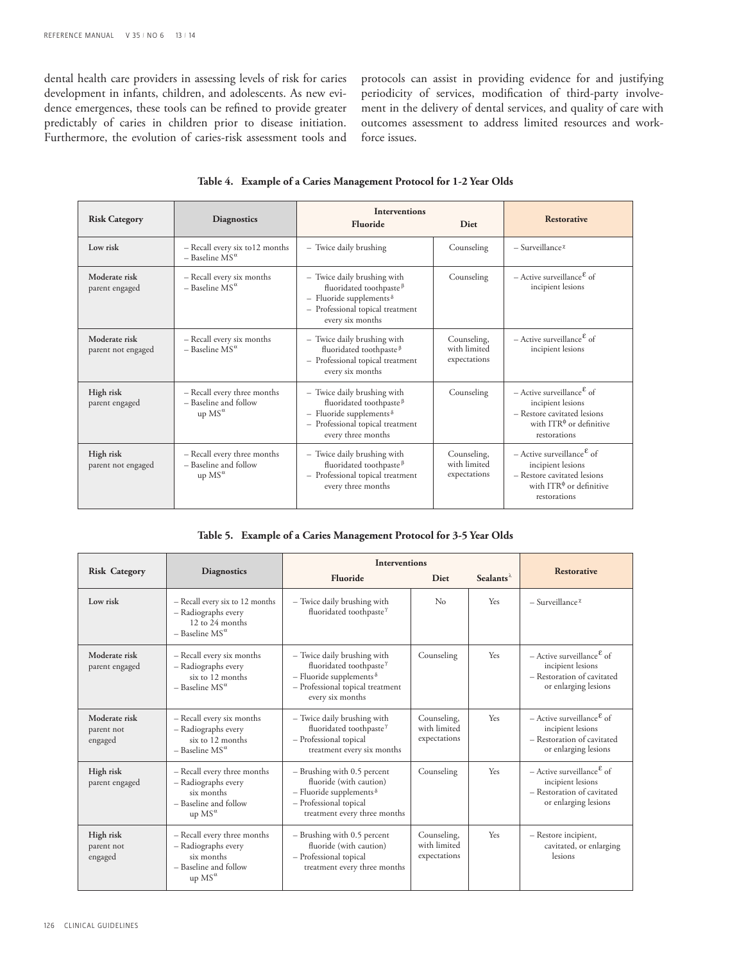dental health care providers in assessing levels of risk for caries development in infants, children, and adolescents. As new evidence emergences, these tools can be refned to provide greater predictably of caries in children prior to disease initiation. Furthermore, the evolution of caries-risk assessment tools and protocols can assist in providing evidence for and justifying periodicity of services, modifcation of third-party involvement in the delivery of dental services, and quality of care with outcomes assessment to address limited resources and workforce issues.

|  |  |  | Table 4. Example of a Caries Management Protocol for 1-2 Year Olds |  |  |  |  |
|--|--|--|--------------------------------------------------------------------|--|--|--|--|
|--|--|--|--------------------------------------------------------------------|--|--|--|--|

| <b>Risk Category</b>                | <b>Diagnostics</b>                                                                | <b>Interventions</b><br>Fluoride<br><b>Diet</b>                                                                                                                                  |                                             | <b>Restorative</b>                                                                                                                        |  |
|-------------------------------------|-----------------------------------------------------------------------------------|----------------------------------------------------------------------------------------------------------------------------------------------------------------------------------|---------------------------------------------|-------------------------------------------------------------------------------------------------------------------------------------------|--|
| Low risk                            | - Recall every six to 12 months<br>$-$ Baseline MS <sup><math>\alpha</math></sup> | - Twice daily brushing                                                                                                                                                           | Counseling                                  | $-$ Surveillance $x$                                                                                                                      |  |
| Moderate risk<br>parent engaged     | - Recall every six months<br>$-$ Baseline MS <sup><math>\alpha</math></sup>       | - Twice daily brushing with<br>fluoridated toothpaste <sup>ß</sup><br>$-$ Fluoride supplements $\delta$<br>- Professional topical treatment<br>every six months                  | Counseling                                  | $-$ Active surveillance $\varepsilon$ of<br>incipient lesions                                                                             |  |
| Moderate risk<br>parent not engaged | - Recall every six months<br>$-$ Baseline MS <sup><math>\alpha</math></sup>       | - Twice daily brushing with<br>fluoridated toothpaste $\beta$<br>- Professional topical treatment<br>every six months                                                            | Counseling,<br>with limited<br>expectations | $-$ Active surveillance $\varepsilon$ of<br>incipient lesions                                                                             |  |
| High risk<br>parent engaged         | - Recall every three months<br>- Baseline and follow<br>up $MS^{\alpha}$          | - Twice daily brushing with<br>fluoridated toothpaste <sup><math>\beta</math></sup><br>- Fluoride supplements $\delta$<br>- Professional topical treatment<br>every three months | Counseling                                  | $-$ Active surveillance $\varepsilon$ of<br>incipient lesions<br>- Restore cavitated lesions<br>with $ITR0$ or definitive<br>restorations |  |
| High risk<br>parent not engaged     | - Recall every three months<br>- Baseline and follow<br>$up MS^{\alpha}$          | - Twice daily brushing with<br>fluoridated toothpaste <sup>ß</sup><br>- Professional topical treatment<br>every three months                                                     | Counseling,<br>with limited<br>expectations | $=$ Active surveillance $\varepsilon$ of<br>incipient lesions<br>- Restore cavitated lesions<br>with $ITR0$ or definitive<br>restorations |  |

**Table 5. Example of a Caries Management Protocol for 3-5 Year Olds**

|                                        |                                                                                                                 | <b>Interventions</b>                                                                                                                                          |                                             |                                          | <b>Restorative</b>                                                                                                  |  |
|----------------------------------------|-----------------------------------------------------------------------------------------------------------------|---------------------------------------------------------------------------------------------------------------------------------------------------------------|---------------------------------------------|------------------------------------------|---------------------------------------------------------------------------------------------------------------------|--|
| <b>Risk Category</b>                   | <b>Diagnostics</b>                                                                                              | Fluoride                                                                                                                                                      | <b>Diet</b>                                 | Sealants <sup><math>\lambda</math></sup> |                                                                                                                     |  |
| Low risk                               | - Recall every six to 12 months<br>- Radiographs every<br>12 to 24 months<br>– Baseline $\text{MS}^{\alpha}$    | - Twice daily brushing with<br>fluoridated toothpaste <sup>7</sup>                                                                                            | $\rm No$                                    | Yes                                      | $-$ Surveillance $x$                                                                                                |  |
| Moderate risk<br>parent engaged        | - Recall every six months<br>- Radiographs every<br>six to 12 months<br>- Baseline MS $^{\alpha}$               | - Twice daily brushing with<br>fluoridated toothpaste <sup>7</sup><br>- Fluoride supplements $\delta$<br>- Professional topical treatment<br>every six months | Counseling                                  | Yes                                      | $-$ Active surveillance $\epsilon$ of<br>incipient lesions<br>- Restoration of cavitated<br>or enlarging lesions    |  |
| Moderate risk<br>parent not<br>engaged | - Recall every six months<br>- Radiographs every<br>six to 12 months<br>- Baseline MS $^{\alpha}$               | - Twice daily brushing with<br>fluoridated toothpaste <sup>7</sup><br>- Professional topical<br>treatment every six months                                    | Counseling,<br>with limited<br>expectations | Yes                                      | $-$ Active surveillance $\epsilon$ of<br>incipient lesions<br>- Restoration of cavitated<br>or enlarging lesions    |  |
| High risk<br>parent engaged            | - Recall every three months<br>- Radiographs every<br>six months<br>- Baseline and follow<br>up $MS^{\alpha}$   | - Brushing with 0.5 percent<br>fluoride (with caution)<br>- Fluoride supplements $\delta$<br>- Professional topical<br>treatment every three months           | Counseling                                  | Yes                                      | $-$ Active surveillance $\varepsilon$ of<br>incipient lesions<br>- Restoration of cavitated<br>or enlarging lesions |  |
| High risk<br>parent not<br>engaged     | - Recall every three months<br>- Radiographs every<br>six months<br>- Baseline and follow<br>up MS <sup>u</sup> | - Brushing with 0.5 percent<br>fluoride (with caution)<br>- Professional topical<br>treatment every three months                                              | Counseling,<br>with limited<br>expectations | Yes                                      | - Restore incipient,<br>cavitated, or enlarging<br>lesions                                                          |  |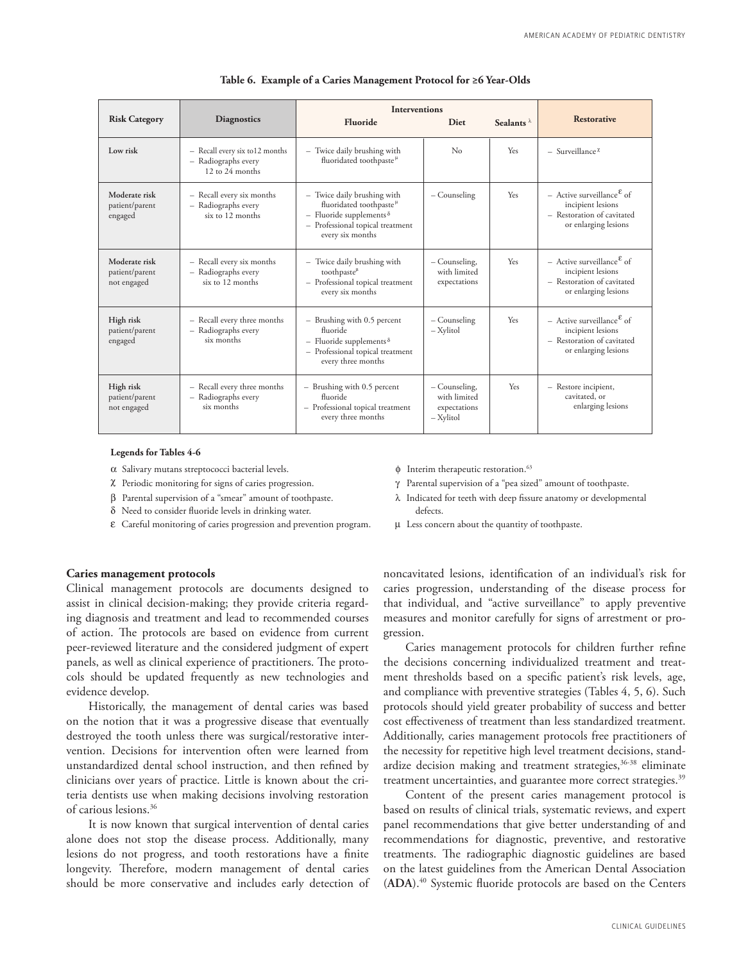|                                                |                                                                               | <b>Interventions</b>                                                                                                                                            |                                                              |                    |                                                                                                                    |
|------------------------------------------------|-------------------------------------------------------------------------------|-----------------------------------------------------------------------------------------------------------------------------------------------------------------|--------------------------------------------------------------|--------------------|--------------------------------------------------------------------------------------------------------------------|
| <b>Risk Category</b>                           | <b>Diagnostics</b>                                                            | Fluoride                                                                                                                                                        | <b>Diet</b>                                                  | Sealants $\lambda$ | <b>Restorative</b>                                                                                                 |
| Low risk                                       | - Recall every six to 12 months<br>- Radiographs every<br>$12$ to $24$ months | - Twice daily brushing with<br>fluoridated toothpaste <sup>µ</sup>                                                                                              | No                                                           | Yes                | $-$ Surveillance $x$                                                                                               |
| Moderate risk<br>patient/parent<br>engaged     | - Recall every six months<br>- Radiographs every<br>six to 12 months          | - Twice daily brushing with<br>fluoridated toothpaste <sup>µ</sup><br>$-$ Fluoride supplements $\delta$<br>- Professional topical treatment<br>every six months | $-$ Counseling                                               | Yes                | $-$ Active surveillance $\epsilon$ of<br>incipient lesions<br>- Restoration of cavitated<br>or enlarging lesions   |
| Moderate risk<br>patient/parent<br>not engaged | - Recall every six months<br>- Radiographs every<br>six to 12 months          | - Twice daily brushing with<br>toothpaste <sup>µ</sup><br>- Professional topical treatment<br>every six months                                                  | - Counseling,<br>with limited<br>expectations                | Yes                | $-$ Active surveillance $\epsilon$ of<br>incipient lesions<br>- Restoration of cavitated<br>or enlarging lesions   |
| High risk<br>patient/parent<br>engaged         | - Recall every three months<br>- Radiographs every<br>six months              | - Brushing with 0.5 percent<br>fluoride<br>$-$ Fluoride supplements $\delta$<br>- Professional topical treatment<br>every three months                          | $-$ Counseling<br>$-$ Xylitol                                | Yes                | $-$ Active surveillance <sup>E</sup> of<br>incipient lesions<br>- Restoration of cavitated<br>or enlarging lesions |
| High risk<br>patient/parent<br>not engaged     | - Recall every three months<br>- Radiographs every<br>six months              | - Brushing with 0.5 percent<br>fluoride<br>- Professional topical treatment<br>every three months                                                               | - Counseling,<br>with limited<br>expectations<br>$-$ Xylitol | Yes                | - Restore incipient,<br>cavitated, or<br>enlarging lesions                                                         |

#### **Table 6. Example of a Caries Management Protocol for ≥6 Year-Olds**

#### **Legends for Tables 4-6**

- α Salivary mutans streptococci bacterial levels.
- 
- 
- δ Need to consider fuoride levels in drinking water. defects.
- ε Careful monitoring of caries progression and prevention program. µ Less concern about the quantity of toothpaste.
- $\phi$  Interim therapeutic restoration.<sup>63</sup>
- χ Periodic monitoring for signs of caries progression. γ Parental supervision of a "pea sized" amount of toothpaste.
- β Parental supervision of a "smear" amount of toothpaste. λ Indicated for teeth with deep fssure anatomy or developmental
	-

## **Caries management protocols**

Clinical management protocols are documents designed to assist in clinical decision-making; they provide criteria regarding diagnosis and treatment and lead to recommended courses of action. The protocols are based on evidence from current peer-reviewed literature and the considered judgment of expert panels, as well as clinical experience of practitioners. The protocols should be updated frequently as new technologies and evidence develop.

Historically, the management of dental caries was based on the notion that it was a progressive disease that eventually destroyed the tooth unless there was surgical/restorative intervention. Decisions for intervention often were learned from unstandardized dental school instruction, and then refned by clinicians over years of practice. Little is known about the criteria dentists use when making decisions involving restoration of carious lesions.36

It is now known that surgical intervention of dental caries alone does not stop the disease process. Additionally, many lesions do not progress, and tooth restorations have a fnite longevity. Therefore, modern management of dental caries should be more conservative and includes early detection of

noncavitated lesions, identifcation of an individual's risk for caries progression, understanding of the disease process for that individual, and "active surveillance" to apply preventive measures and monitor carefully for signs of arrestment or progression.

Caries management protocols for children further refne the decisions concerning individualized treatment and treatment thresholds based on a specifc patient's risk levels, age, and compliance with preventive strategies (Tables 4, 5, 6). Such protocols should yield greater probability of success and better cost efectiveness of treatment than less standardized treatment. Additionally, caries management protocols free practitioners of the necessity for repetitive high level treatment decisions, standardize decision making and treatment strategies,<sup>36-38</sup> eliminate treatment uncertainties, and guarantee more correct strategies.<sup>39</sup>

Content of the present caries management protocol is based on results of clinical trials, systematic reviews, and expert panel recommendations that give better understanding of and recommendations for diagnostic, preventive, and restorative treatments. The radiographic diagnostic guidelines are based on the latest guidelines from the American Dental Association (**ADA**).40 Systemic fuoride protocols are based on the Centers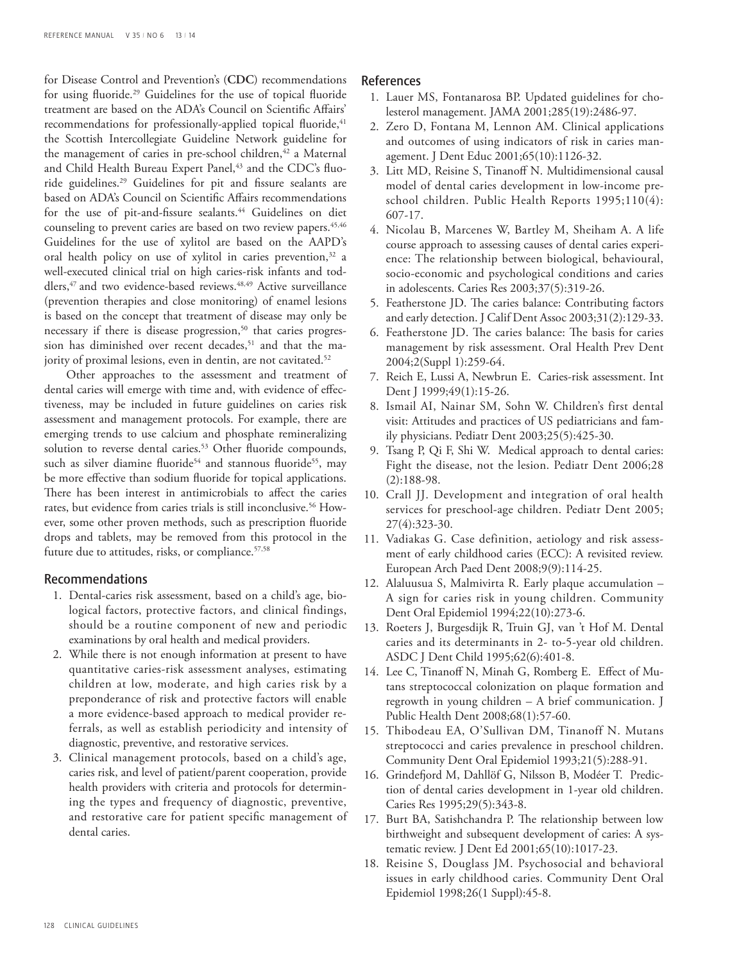for Disease Control and Prevention's (**CDC**) recommendations for using fuoride.29 Guidelines for the use of topical fuoride treatment are based on the ADA's Council on Scientifc Afairs' recommendations for professionally-applied topical fluoride,<sup>41</sup> the Scottish Intercollegiate Guideline Network guideline for the management of caries in pre-school children,<sup>42</sup> a Maternal and Child Health Bureau Expert Panel,<sup>43</sup> and the CDC's fluoride guidelines.<sup>29</sup> Guidelines for pit and fissure sealants are based on ADA's Council on Scientifc Afairs recommendations for the use of pit-and-fissure sealants.<sup>44</sup> Guidelines on diet counseling to prevent caries are based on two review papers.<sup>45,46</sup> Guidelines for the use of xylitol are based on the AAPD's oral health policy on use of xylitol in caries prevention,<sup>32</sup> a well-executed clinical trial on high caries-risk infants and toddlers,<sup>47</sup> and two evidence-based reviews.<sup>48,49</sup> Active surveillance (prevention therapies and close monitoring) of enamel lesions is based on the concept that treatment of disease may only be necessary if there is disease progression,<sup>50</sup> that caries progression has diminished over recent decades,<sup>51</sup> and that the majority of proximal lesions, even in dentin, are not cavitated.<sup>52</sup>

Other approaches to the assessment and treatment of dental caries will emerge with time and, with evidence of efectiveness, may be included in future guidelines on caries risk assessment and management protocols. For example, there are emerging trends to use calcium and phosphate remineralizing solution to reverse dental caries.<sup>53</sup> Other fluoride compounds, such as silver diamine fluoride<sup>54</sup> and stannous fluoride<sup>55</sup>, may be more efective than sodium fuoride for topical applications. There has been interest in antimicrobials to affect the caries rates, but evidence from caries trials is still inconclusive.<sup>56</sup> However, some other proven methods, such as prescription fuoride drops and tablets, may be removed from this protocol in the future due to attitudes, risks, or compliance.<sup>57,58</sup>

### Recommendations

- 1. Dental-caries risk assessment, based on a child's age, biological factors, protective factors, and clinical findings, should be a routine component of new and periodic examinations by oral health and medical providers.
- 2. While there is not enough information at present to have quantitative caries-risk assessment analyses, estimating children at low, moderate, and high caries risk by a preponderance of risk and protective factors will enable a more evidence-based approach to medical provider referrals, as well as establish periodicity and intensity of diagnostic, preventive, and restorative services.
- 3. Clinical management protocols, based on a child's age, caries risk, and level of patient/parent cooperation, provide health providers with criteria and protocols for determining the types and frequency of diagnostic, preventive, and restorative care for patient specifc management of dental caries.

## **References**

- 1. Lauer MS, Fontanarosa BP. Updated guidelines for cholesterol management. JAMA 2001;285(19):2486-97.
- 2. Zero D, Fontana M, Lennon AM. Clinical applications and outcomes of using indicators of risk in caries management. J Dent Educ 2001;65(10):1126-32.
- 3. Litt MD, Reisine S, Tinanoff N. Multidimensional causal model of dental caries development in low-income preschool children. Public Health Reports 1995;110(4): 607-17.
- 4. Nicolau B, Marcenes W, Bartley M, Sheiham A. A life course approach to assessing causes of dental caries experience: The relationship between biological, behavioural, socio-economic and psychological conditions and caries in adolescents. Caries Res 2003;37(5):319-26.
- 5. Featherstone JD. The caries balance: Contributing factors and early detection. J Calif Dent Assoc 2003;31(2):129-33.
- 6. Featherstone JD. The caries balance: The basis for caries management by risk assessment. Oral Health Prev Dent 2004;2(Suppl 1):259-64.
- 7. Reich E, Lussi A, Newbrun E. Caries-risk assessment. Int Dent J 1999;49(1):15-26.
- 8. Ismail AI, Nainar SM, Sohn W. Children's first dental visit: Attitudes and practices of US pediatricians and family physicians. Pediatr Dent 2003;25(5):425-30.
- 9. Tsang P, Qi F, Shi W. Medical approach to dental caries: Fight the disease, not the lesion. Pediatr Dent 2006;28 (2):188-98.
- 10. Crall JJ. Development and integration of oral health services for preschool-age children. Pediatr Dent 2005; 27(4):323-30.
- 11. Vadiakas G. Case definition, aetiology and risk assessment of early childhood caries (ECC): A revisited review. European Arch Paed Dent 2008;9(9):114-25.
- 12. Alaluusua S, Malmivirta R. Early plaque accumulation A sign for caries risk in young children. Community Dent Oral Epidemiol 1994;22(10):273-6.
- 13. Roeters J, Burgesdijk R, Truin GJ, van 't Hof M. Dental caries and its determinants in 2- to-5-year old children. ASDC J Dent Child 1995;62(6):401-8.
- 14. Lee C, Tinanoff N, Minah G, Romberg E. Effect of Mutans streptococcal colonization on plaque formation and regrowth in young children – A brief communication. J Public Health Dent 2008;68(1):57-60.
- 15. Thibodeau EA, O'Sullivan DM, Tinanoff N. Mutans streptococci and caries prevalence in preschool children. Community Dent Oral Epidemiol 1993;21(5):288-91.
- 16. Grindeford M, Dahllöf G, Nilsson B, Modéer T. Prediction of dental caries development in 1-year old children. Caries Res 1995;29(5):343-8.
- 17. Burt BA, Satishchandra P. The relationship between low birthweight and subsequent development of caries: A systematic review. J Dent Ed 2001;65(10):1017-23.
- 18. Reisine S, Douglass JM. Psychosocial and behavioral issues in early childhood caries. Community Dent Oral Epidemiol 1998;26(1 Suppl):45-8.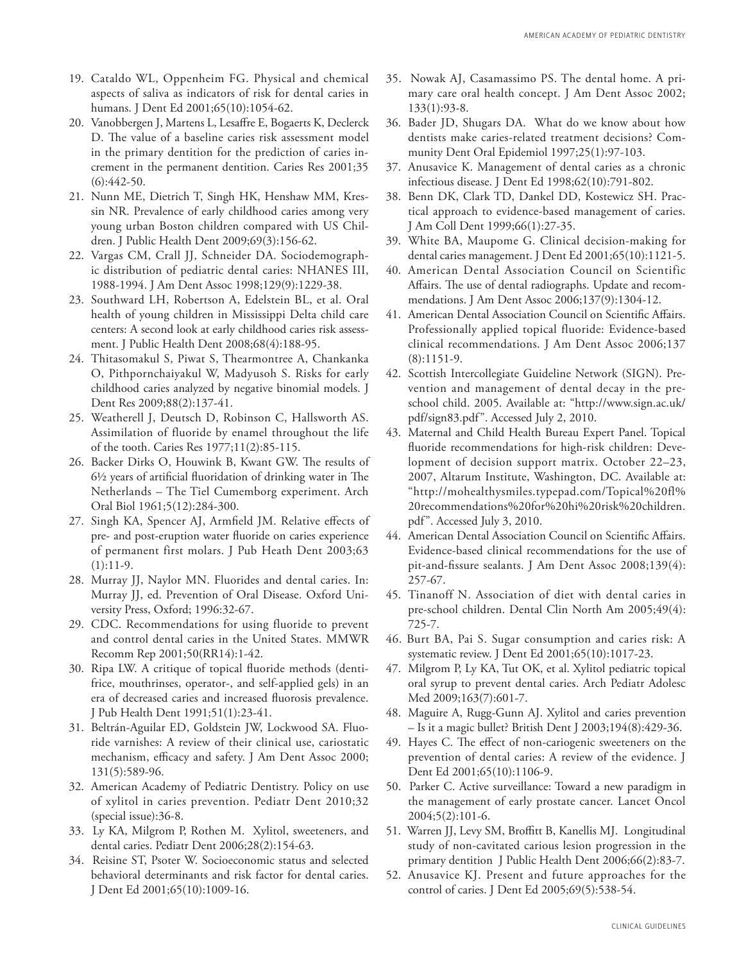- 19. Cataldo WL, Oppenheim FG. Physical and chemical aspects of saliva as indicators of risk for dental caries in humans. J Dent Ed 2001;65(10):1054-62.
- 20. Vanobbergen J, Martens L, Lesafre E, Bogaerts K, Declerck D. The value of a baseline caries risk assessment model in the primary dentition for the prediction of caries increment in the permanent dentition. Caries Res 2001;35  $(6):442-50.$
- 21. Nunn ME, Dietrich T, Singh HK, Henshaw MM, Kressin NR. Prevalence of early childhood caries among very young urban Boston children compared with US Children. J Public Health Dent 2009;69(3):156-62.
- 22. Vargas CM, Crall JJ, Schneider DA. Sociodemographic distribution of pediatric dental caries: NHANES III, 1988-1994. J Am Dent Assoc 1998;129(9):1229-38.
- 23. Southward LH, Robertson A, Edelstein BL, et al. Oral health of young children in Mississippi Delta child care centers: A second look at early childhood caries risk assessment. J Public Health Dent 2008;68(4):188-95.
- 24. Thitasomakul S, Piwat S, Thearmontree A, Chankanka O, Pithpornchaiyakul W, Madyusoh S. Risks for early childhood caries analyzed by negative binomial models. J Dent Res 2009;88(2):137-41.
- 25. Weatherell J, Deutsch D, Robinson C, Hallsworth AS. Assimilation of fluoride by enamel throughout the life of the tooth. Caries Res 1977;11(2):85-115.
- 26. Backer Dirks O, Houwink B, Kwant GW. The results of  $6\frac{1}{2}$  years of artificial fluoridation of drinking water in The Netherlands – The Tiel Cumemborg experiment. Arch Oral Biol 1961;5(12):284-300.
- 27. Singh KA, Spencer AJ, Armfeld JM. Relative efects of pre- and post-eruption water fuoride on caries experience of permanent first molars. J Pub Heath Dent 2003;63  $(1):11-9.$
- 28. Murray JJ, Naylor MN. Fluorides and dental caries. In: Murray JJ, ed. Prevention of Oral Disease. Oxford University Press, Oxford; 1996:32-67.
- 29. CDC. Recommendations for using fluoride to prevent and control dental caries in the United States. MMWR Recomm Rep 2001;50(RR14):1-42.
- 30. Ripa LW. A critique of topical fuoride methods (dentifrice, mouthrinses, operator-, and self-applied gels) in an era of decreased caries and increased fuorosis prevalence. J Pub Health Dent 1991;51(1):23-41.
- 31. Beltrán-Aguilar ED, Goldstein JW, Lockwood SA. Fluoride varnishes: A review of their clinical use, cariostatic mechanism, efficacy and safety. J Am Dent Assoc 2000; 131(5):589-96.
- 32. American Academy of Pediatric Dentistry. Policy on use of xylitol in caries prevention. Pediatr Dent 2010;32 (special issue):36-8.
- 33. Ly KA, Milgrom P, Rothen M. Xylitol, sweeteners, and dental caries. Pediatr Dent 2006;28(2):154-63.
- 34. Reisine ST, Psoter W. Socioeconomic status and selected behavioral determinants and risk factor for dental caries. J Dent Ed 2001;65(10):1009-16.
- 35. Nowak AJ, Casamassimo PS. The dental home. A primary care oral health concept. J Am Dent Assoc 2002; 133(1):93-8.
- 36. Bader JD, Shugars DA. What do we know about how dentists make caries-related treatment decisions? Community Dent Oral Epidemiol 1997;25(1):97-103.
- 37. Anusavice K. Management of dental caries as a chronic infectious disease. J Dent Ed 1998;62(10):791-802.
- 38. Benn DK, Clark TD, Dankel DD, Kostewicz SH. Practical approach to evidence-based management of caries. J Am Coll Dent 1999;66(1):27-35.
- 39. White BA, Maupome G. Clinical decision-making for dental caries management. J Dent Ed 2001;65(10):1121-5.
- 40. American Dental Association Council on Scientific Affairs. The use of dental radiographs. Update and recommendations. J Am Dent Assoc 2006;137(9):1304-12.
- 41. American Dental Association Council on Scientifc Afairs. Professionally applied topical fluoride: Evidence-based clinical recommendations. J Am Dent Assoc 2006;137 (8):1151-9.
- 42. Scottish Intercollegiate Guideline Network (SIGN). Prevention and management of dental decay in the preschool child. 2005. Available at: "http://www.sign.ac.uk/ pdf/sign83.pdf". Accessed July 2, 2010.
- 43. Maternal and Child Health Bureau Expert Panel. Topical fuoride recommendations for high-risk children: Development of decision support matrix. October 22–23, 2007, Altarum Institute, Washington, DC. Available at: "http://mohealthysmiles.typepad.com/Topical%20fl% 20recommendations%20for%20hi%20risk%20children. pdf". Accessed July 3, 2010.
- 44. American Dental Association Council on Scientifc Afairs. Evidence-based clinical recommendations for the use of pit-and-fssure sealants. J Am Dent Assoc 2008;139(4): 257-67.
- 45. Tinanoff N. Association of diet with dental caries in pre-school children. Dental Clin North Am 2005;49(4): 725-7.
- 46. Burt BA, Pai S. Sugar consumption and caries risk: A systematic review. J Dent Ed 2001;65(10):1017-23.
- 47. Milgrom P, Ly KA, Tut OK, et al. Xylitol pediatric topical oral syrup to prevent dental caries. Arch Pediatr Adolesc Med 2009;163(7):601-7.
- 48. Maguire A, Rugg-Gunn AJ. Xylitol and caries prevention – Is it a magic bullet? British Dent J 2003;194(8):429-36.
- 49. Hayes C. The effect of non-cariogenic sweeteners on the prevention of dental caries: A review of the evidence. J Dent Ed 2001;65(10):1106-9.
- 50. Parker C. Active surveillance: Toward a new paradigm in the management of early prostate cancer. Lancet Oncol 2004;5(2):101-6.
- 51. Warren JJ, Levy SM, Broffitt B, Kanellis MJ. Longitudinal study of non-cavitated carious lesion progression in the primary dentition J Public Health Dent 2006;66(2):83-7.
- 52. Anusavice KJ. Present and future approaches for the control of caries. J Dent Ed 2005;69(5):538-54.